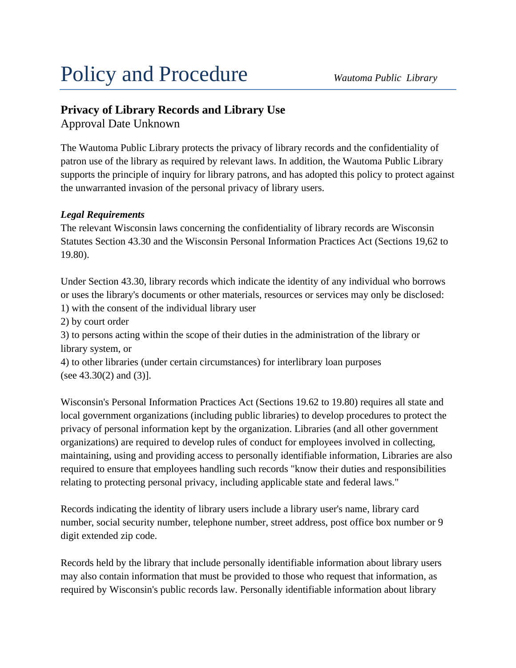# Policy and Procedure *Wautoma Public Library*

# **Privacy of Library Records and Library Use**

Approval Date Unknown

The Wautoma Public Library protects the privacy of library records and the confidentiality of patron use of the library as required by relevant laws. In addition, the Wautoma Public Library supports the principle of inquiry for library patrons, and has adopted this policy to protect against the unwarranted invasion of the personal privacy of library users.

# *Legal Requirements*

The relevant Wisconsin laws concerning the confidentiality of library records are Wisconsin Statutes Section 43.30 and the Wisconsin Personal Information Practices Act (Sections 19,62 to 19.80).

Under Section 43.30, library records which indicate the identity of any individual who borrows or uses the library's documents or other materials, resources or services may only be disclosed: 1) with the consent of the individual library user

2) by court order

3) to persons acting within the scope of their duties in the administration of the library or library system, or

4) to other libraries (under certain circumstances) for interlibrary loan purposes (see 43.30(2) and (3)].

Wisconsin's Personal Information Practices Act (Sections 19.62 to 19.80) requires all state and local government organizations (including public libraries) to develop procedures to protect the privacy of personal information kept by the organization. Libraries (and all other government organizations) are required to develop rules of conduct for employees involved in collecting, maintaining, using and providing access to personally identifiable information, Libraries are also required to ensure that employees handling such records "know their duties and responsibilities relating to protecting personal privacy, including applicable state and federal laws."

Records indicating the identity of library users include a library user's name, library card number, social security number, telephone number, street address, post office box number or 9 digit extended zip code.

Records held by the library that include personally identifiable information about library users may also contain information that must be provided to those who request that information, as required by Wisconsin's public records law. Personally identifiable information about library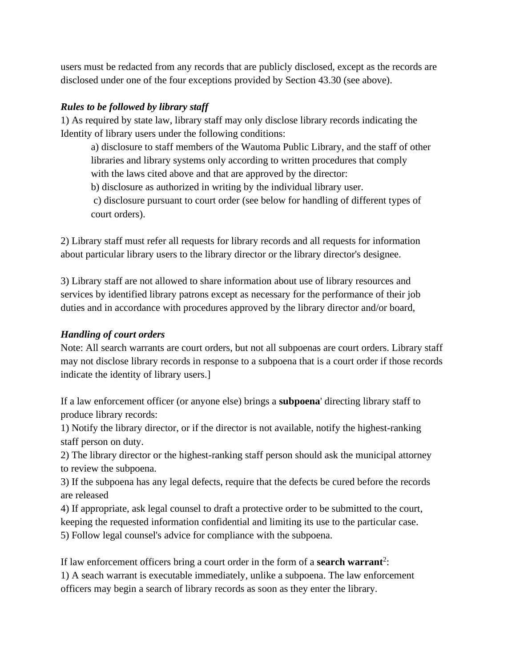users must be redacted from any records that are publicly disclosed, except as the records are disclosed under one of the four exceptions provided by Section 43.30 (see above).

#### *Rules to be followed by library staff*

1) As required by state law, library staff may only disclose library records indicating the Identity of library users under the following conditions:

a) disclosure to staff members of the Wautoma Public Library, and the staff of other libraries and library systems only according to written procedures that comply with the laws cited above and that are approved by the director:

b) disclosure as authorized in writing by the individual library user.

c) disclosure pursuant to court order (see below for handling of different types of court orders).

2) Library staff must refer all requests for library records and all requests for information about particular library users to the library director or the library director's designee.

3) Library staff are not allowed to share information about use of library resources and services by identified library patrons except as necessary for the performance of their job duties and in accordance with procedures approved by the library director and/or board,

# *Handling of court orders*

Note: All search warrants are court orders, but not all subpoenas are court orders. Library staff may not disclose library records in response to a subpoena that is a court order if those records indicate the identity of library users.]

If a law enforcement officer (or anyone else) brings a **subpoena**' directing library staff to produce library records:

1) Notify the library director, or if the director is not available, notify the highest-ranking staff person on duty.

2) The library director or the highest-ranking staff person should ask the municipal attorney to review the subpoena.

3) If the subpoena has any legal defects, require that the defects be cured before the records are released

4) If appropriate, ask legal counsel to draft a protective order to be submitted to the court, keeping the requested information confidential and limiting its use to the particular case. 5) Follow legal counsel's advice for compliance with the subpoena.

If law enforcement officers bring a court order in the form of a **search warrant**<sup>2</sup>: 1) A seach warrant is executable immediately, unlike a subpoena. The law enforcement officers may begin a search of library records as soon as they enter the library.